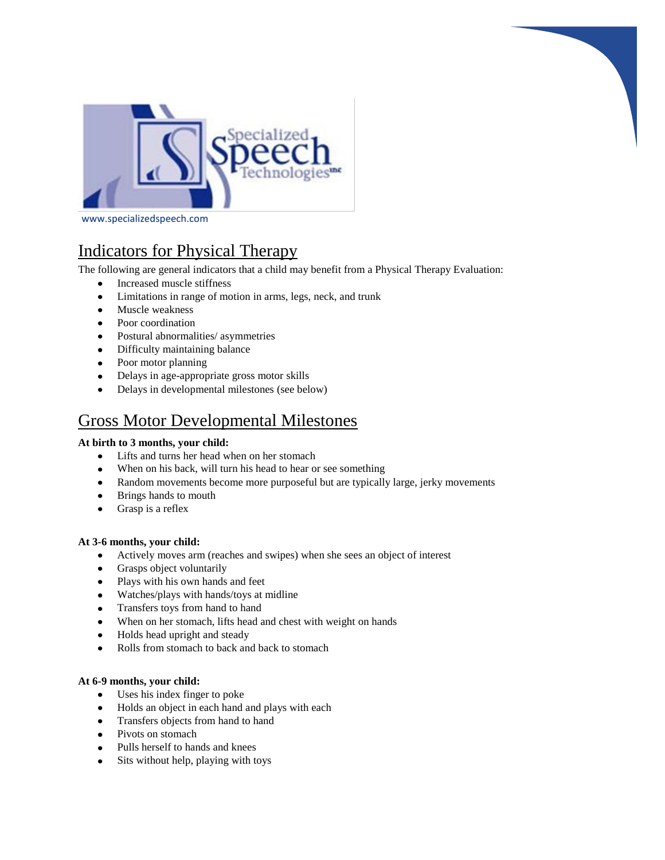

www.specializedspeech.com

# Indicators for Physical Therapy

The following are general indicators that a child may benefit from a Physical Therapy Evaluation:

- Increased muscle stiffness  $\bullet$
- Limitations in range of motion in arms, legs, neck, and trunk  $\bullet$
- $\bullet$ Muscle weakness
- Poor coordination
- Postural abnormalities/ asymmetries
- Difficulty maintaining balance
- Poor motor planning
- Delays in age-appropriate gross motor skills
- Delays in developmental milestones (see below)  $\bullet$

# Gross Motor Developmental Milestones

# **At birth to 3 months, your child:**

- Lifts and turns her head when on her stomach  $\bullet$
- When on his back, will turn his head to hear or see something  $\bullet$
- Random movements become more purposeful but are typically large, jerky movements
- $\bullet$ Brings hands to mouth
- $\bullet$ Grasp is a reflex

# **At 3-6 months, your child:**

- Actively moves arm (reaches and swipes) when she sees an object of interest
- Grasps object voluntarily
- Plays with his own hands and feet
- Watches/plays with hands/toys at midline
- Transfers toys from hand to hand
- When on her stomach, lifts head and chest with weight on hands
- Holds head upright and steady  $\bullet$
- Rolls from stomach to back and back to stomach  $\bullet$

# **At 6-9 months, your child:**

- Uses his index finger to poke  $\bullet$
- Holds an object in each hand and plays with each
- Transfers objects from hand to hand
- Pivots on stomach
- Pulls herself to hands and knees
- Sits without help, playing with toys $\bullet$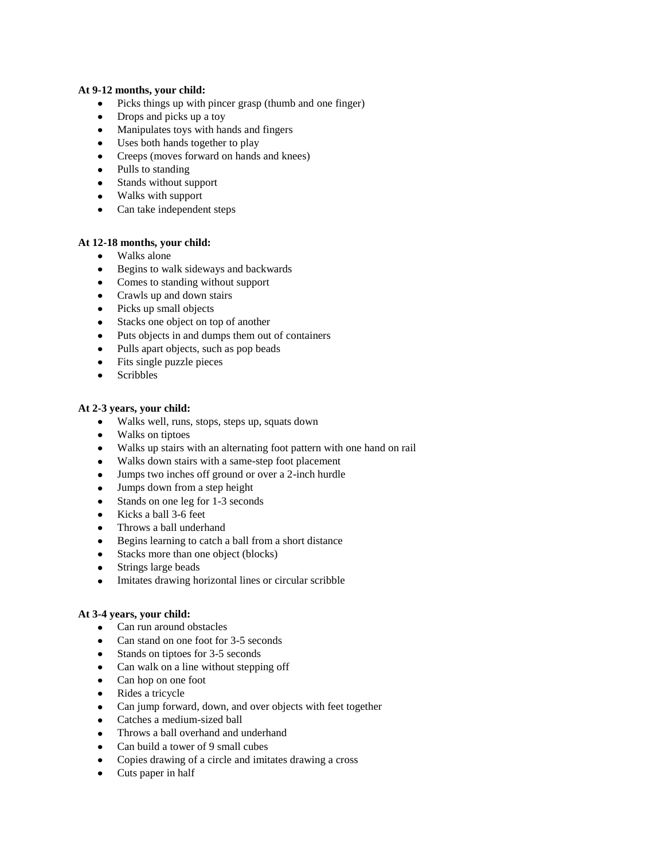# **At 9-12 months, your child:**

- Picks things up with pincer grasp (thumb and one finger)
- Drops and picks up a toy
- Manipulates toys with hands and fingers
- Uses both hands together to play
- Creeps (moves forward on hands and knees)
- Pulls to standing
- Stands without support
- Walks with support
- Can take independent steps

#### **At 12-18 months, your child:**

- Walks alone
- Begins to walk sideways and backwards
- Comes to standing without support
- Crawls up and down stairs
- Picks up small objects
- Stacks one object on top of another  $\bullet$
- Puts objects in and dumps them out of containers
- Pulls apart objects, such as pop beads
- Fits single puzzle pieces  $\bullet$
- $\bullet$ Scribbles

#### **At 2-3 years, your child:**

- Walks well, runs, stops, steps up, squats down
- Walks on tiptoes
- Walks up stairs with an alternating foot pattern with one hand on rail  $\bullet$
- Walks down stairs with a same-step foot placement
- Jumps two inches off ground or over a 2-inch hurdle
- Jumps down from a step height  $\bullet$
- Stands on one leg for 1-3 seconds  $\bullet$
- Kicks a ball 3-6 feet
- Throws a ball underhand  $\bullet$
- Begins learning to catch a ball from a short distance
- Stacks more than one object (blocks)
- Strings large beads  $\bullet$
- Imitates drawing horizontal lines or circular scribble  $\bullet$

#### **At 3-4 years, your child:**

- Can run around obstacles
- Can stand on one foot for 3-5 seconds
- Stands on tiptoes for 3-5 seconds
- Can walk on a line without stepping off
- Can hop on one foot
- Rides a tricycle  $\bullet$
- Can jump forward, down, and over objects with feet together
- Catches a medium-sized ball  $\bullet$
- $\bullet$ Throws a ball overhand and underhand
- $\bullet$ Can build a tower of 9 small cubes
- Copies drawing of a circle and imitates drawing a cross  $\bullet$
- Cuts paper in half $\bullet$